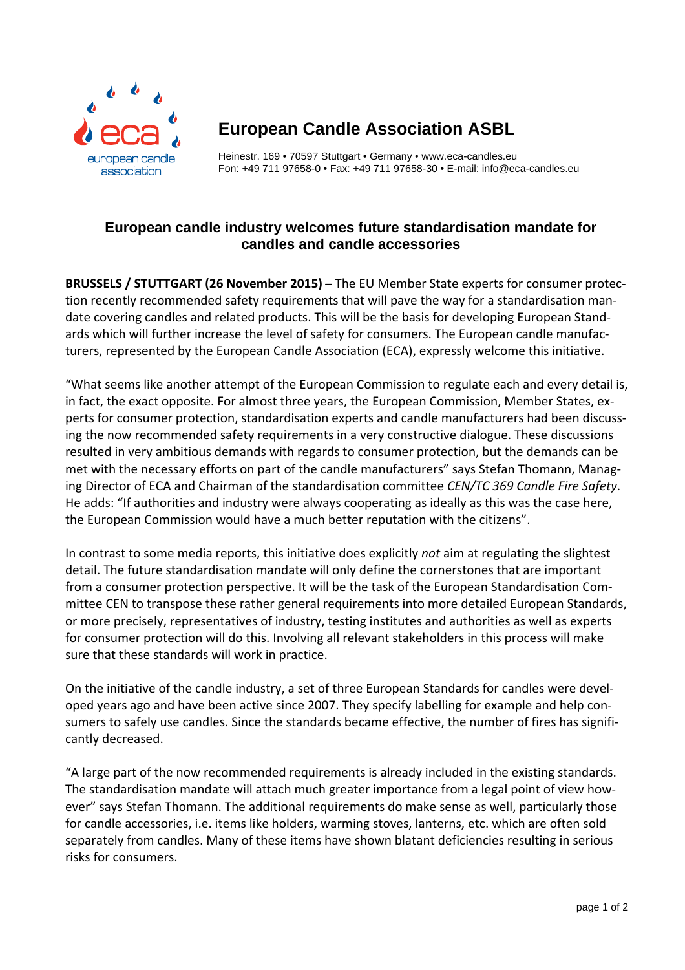

## **European Candle Association ASBL**

Heinestr. 169 • 70597 Stuttgart • Germany • www.eca-candles.eu Fon: +49 711 97658-0 • Fax: +49 711 97658-30 • E-mail: info@eca-candles.eu

## **European candle industry welcomes future standardisation mandate for candles and candle accessories**

**BRUSSELS / STUTTGART (26 November 2015)** ̶ The EU Member State experts for consumer protec‐ tion recently recommended safety requirements that will pave the way for a standardisation man‐ date covering candles and related products. This will be the basis for developing European Stand‐ ards which will further increase the level of safety for consumers. The European candle manufacturers, represented by the European Candle Association (ECA), expressly welcome this initiative.

"What seems like another attempt of the European Commission to regulate each and every detail is, in fact, the exact opposite. For almost three years, the European Commission, Member States, experts for consumer protection, standardisation experts and candle manufacturers had been discussing the now recommended safety requirements in a very constructive dialogue. These discussions resulted in very ambitious demands with regards to consumer protection, but the demands can be met with the necessary efforts on part of the candle manufacturers" says Stefan Thomann, Managing Director of ECA and Chairman of the standardisation committee *CEN/TC 369 Candle Fire Safety*. He adds: "If authorities and industry were always cooperating as ideally as this was the case here, the European Commission would have a much better reputation with the citizens".

In contrast to some media reports, this initiative does explicitly *not* aim at regulating the slightest detail. The future standardisation mandate will only define the cornerstones that are important from a consumer protection perspective. It will be the task of the European Standardisation Com‐ mittee CEN to transpose these rather general requirements into more detailed European Standards, or more precisely, representatives of industry, testing institutes and authorities as well as experts for consumer protection will do this. Involving all relevant stakeholders in this process will make sure that these standards will work in practice.

On the initiative of the candle industry, a set of three European Standards for candles were devel‐ oped years ago and have been active since 2007. They specify labelling for example and help con‐ sumers to safely use candles. Since the standards became effective, the number of fires has significantly decreased.

"A large part of the now recommended requirements is already included in the existing standards. The standardisation mandate will attach much greater importance from a legal point of view however" says Stefan Thomann. The additional requirements do make sense as well, particularly those for candle accessories, i.e. items like holders, warming stoves, lanterns, etc. which are often sold separately from candles. Many of these items have shown blatant deficiencies resulting in serious risks for consumers.